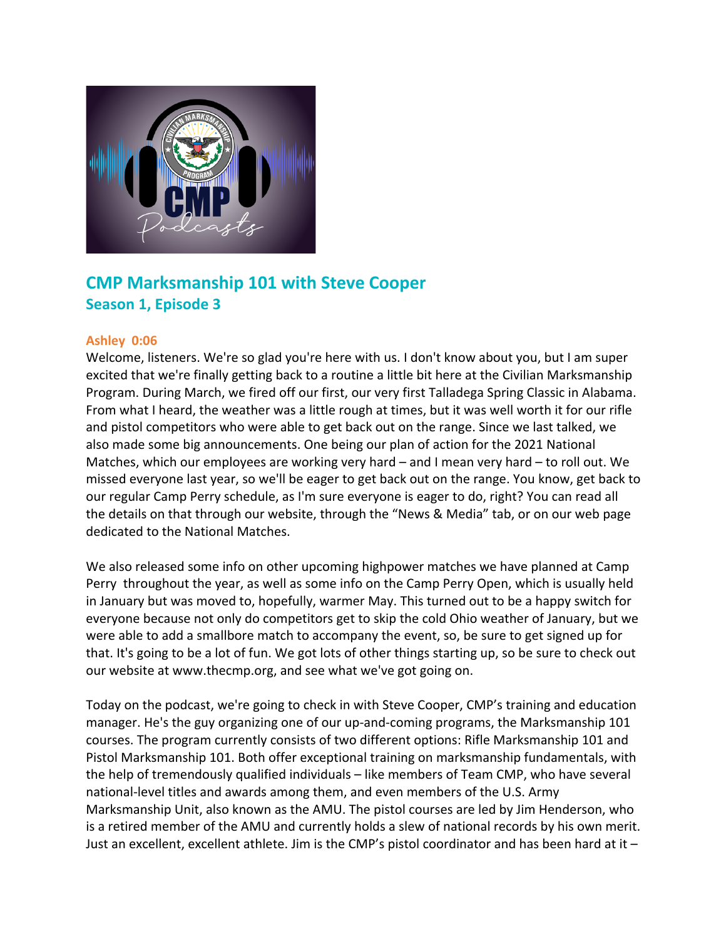

# **CMP Marksmanship 101 with Steve Cooper Season 1, Episode 3**

# **Ashley 0:06**

Welcome, listeners. We're so glad you're here with us. I don't know about you, but I am super excited that we're finally getting back to a routine a little bit here at the Civilian Marksmanship Program. During March, we fired off our first, our very first Talladega Spring Classic in Alabama. From what I heard, the weather was a little rough at times, but it was well worth it for our rifle and pistol competitors who were able to get back out on the range. Since we last talked, we also made some big announcements. One being our plan of action for the 2021 National Matches, which our employees are working very hard – and I mean very hard – to roll out. We missed everyone last year, so we'll be eager to get back out on the range. You know, get back to our regular Camp Perry schedule, as I'm sure everyone is eager to do, right? You can read all the details on that through our website, through the "News & Media" tab, or on our web page dedicated to the National Matches.

We also released some info on other upcoming highpower matches we have planned at Camp Perry throughout the year, as well as some info on the Camp Perry Open, which is usually held in January but was moved to, hopefully, warmer May. This turned out to be a happy switch for everyone because not only do competitors get to skip the cold Ohio weather of January, but we were able to add a smallbore match to accompany the event, so, be sure to get signed up for that. It's going to be a lot of fun. We got lots of other things starting up, so be sure to check out our website at www.thecmp.org, and see what we've got going on.

Today on the podcast, we're going to check in with Steve Cooper, CMP's training and education manager. He's the guy organizing one of our up-and-coming programs, the Marksmanship 101 courses. The program currently consists of two different options: Rifle Marksmanship 101 and Pistol Marksmanship 101. Both offer exceptional training on marksmanship fundamentals, with the help of tremendously qualified individuals – like members of Team CMP, who have several national-level titles and awards among them, and even members of the U.S. Army Marksmanship Unit, also known as the AMU. The pistol courses are led by Jim Henderson, who is a retired member of the AMU and currently holds a slew of national records by his own merit. Just an excellent, excellent athlete. Jim is the CMP's pistol coordinator and has been hard at it –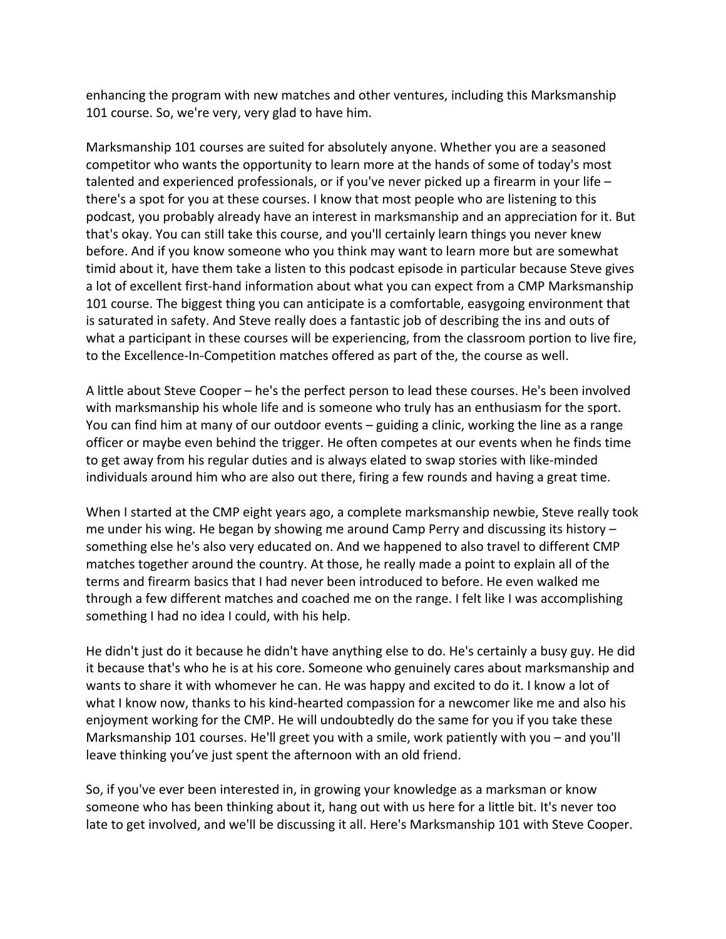enhancing the program with new matches and other ventures, including this Marksmanship 101 course. So, we're very, very glad to have him.

Marksmanship 101 courses are suited for absolutely anyone. Whether you are a seasoned competitor who wants the opportunity to learn more at the hands of some of today's most talented and experienced professionals, or if you've never picked up a firearm in your life – there's a spot for you at these courses. I know that most people who are listening to this podcast, you probably already have an interest in marksmanship and an appreciation for it. But that's okay. You can still take this course, and you'll certainly learn things you never knew before. And if you know someone who you think may want to learn more but are somewhat timid about it, have them take a listen to this podcast episode in particular because Steve gives a lot of excellent first-hand information about what you can expect from a CMP Marksmanship 101 course. The biggest thing you can anticipate is a comfortable, easygoing environment that is saturated in safety. And Steve really does a fantastic job of describing the ins and outs of what a participant in these courses will be experiencing, from the classroom portion to live fire, to the Excellence-In-Competition matches offered as part of the, the course as well.

A little about Steve Cooper – he's the perfect person to lead these courses. He's been involved with marksmanship his whole life and is someone who truly has an enthusiasm for the sport. You can find him at many of our outdoor events – guiding a clinic, working the line as a range officer or maybe even behind the trigger. He often competes at our events when he finds time to get away from his regular duties and is always elated to swap stories with like-minded individuals around him who are also out there, firing a few rounds and having a great time.

When I started at the CMP eight years ago, a complete marksmanship newbie, Steve really took me under his wing. He began by showing me around Camp Perry and discussing its history – something else he's also very educated on. And we happened to also travel to different CMP matches together around the country. At those, he really made a point to explain all of the terms and firearm basics that I had never been introduced to before. He even walked me through a few different matches and coached me on the range. I felt like I was accomplishing something I had no idea I could, with his help.

He didn't just do it because he didn't have anything else to do. He's certainly a busy guy. He did it because that's who he is at his core. Someone who genuinely cares about marksmanship and wants to share it with whomever he can. He was happy and excited to do it. I know a lot of what I know now, thanks to his kind-hearted compassion for a newcomer like me and also his enjoyment working for the CMP. He will undoubtedly do the same for you if you take these Marksmanship 101 courses. He'll greet you with a smile, work patiently with you – and you'll leave thinking you've just spent the afternoon with an old friend.

So, if you've ever been interested in, in growing your knowledge as a marksman or know someone who has been thinking about it, hang out with us here for a little bit. It's never too late to get involved, and we'll be discussing it all. Here's Marksmanship 101 with Steve Cooper.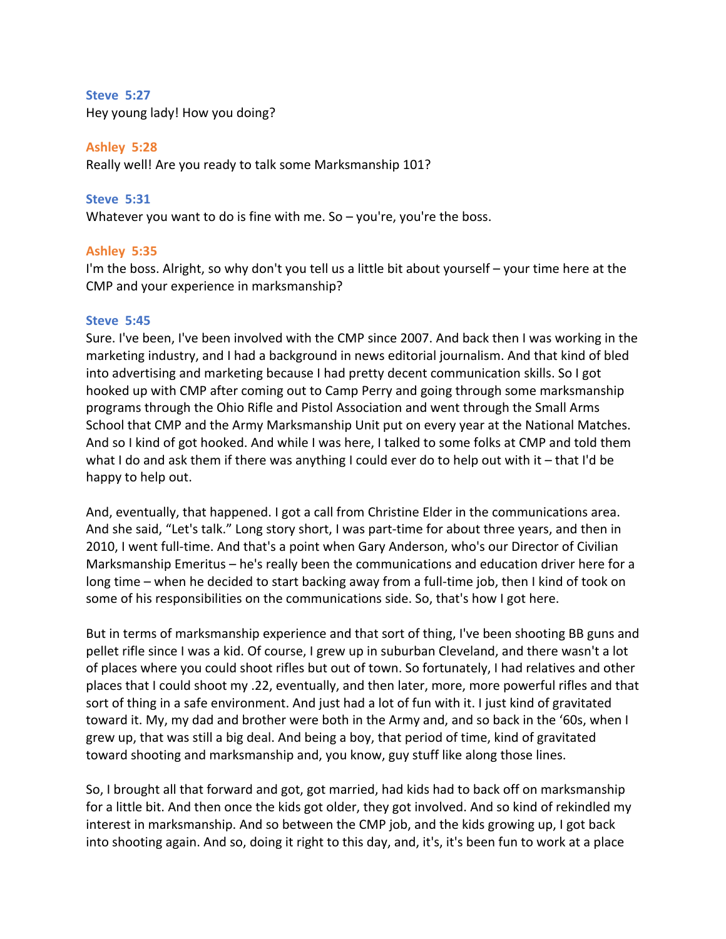### **Steve 5:27**

Hey young lady! How you doing?

# **Ashley 5:28**

Really well! Are you ready to talk some Marksmanship 101?

# **Steve 5:31**

Whatever you want to do is fine with me. So – you're, you're the boss.

# **Ashley 5:35**

I'm the boss. Alright, so why don't you tell us a little bit about yourself – your time here at the CMP and your experience in marksmanship?

### **Steve 5:45**

Sure. I've been, I've been involved with the CMP since 2007. And back then I was working in the marketing industry, and I had a background in news editorial journalism. And that kind of bled into advertising and marketing because I had pretty decent communication skills. So I got hooked up with CMP after coming out to Camp Perry and going through some marksmanship programs through the Ohio Rifle and Pistol Association and went through the Small Arms School that CMP and the Army Marksmanship Unit put on every year at the National Matches. And so I kind of got hooked. And while I was here, I talked to some folks at CMP and told them what I do and ask them if there was anything I could ever do to help out with it – that I'd be happy to help out.

And, eventually, that happened. I got a call from Christine Elder in the communications area. And she said, "Let's talk." Long story short, I was part-time for about three years, and then in 2010, I went full-time. And that's a point when Gary Anderson, who's our Director of Civilian Marksmanship Emeritus – he's really been the communications and education driver here for a long time – when he decided to start backing away from a full-time job, then I kind of took on some of his responsibilities on the communications side. So, that's how I got here.

But in terms of marksmanship experience and that sort of thing, I've been shooting BB guns and pellet rifle since I was a kid. Of course, I grew up in suburban Cleveland, and there wasn't a lot of places where you could shoot rifles but out of town. So fortunately, I had relatives and other places that I could shoot my .22, eventually, and then later, more, more powerful rifles and that sort of thing in a safe environment. And just had a lot of fun with it. I just kind of gravitated toward it. My, my dad and brother were both in the Army and, and so back in the '60s, when I grew up, that was still a big deal. And being a boy, that period of time, kind of gravitated toward shooting and marksmanship and, you know, guy stuff like along those lines.

So, I brought all that forward and got, got married, had kids had to back off on marksmanship for a little bit. And then once the kids got older, they got involved. And so kind of rekindled my interest in marksmanship. And so between the CMP job, and the kids growing up, I got back into shooting again. And so, doing it right to this day, and, it's, it's been fun to work at a place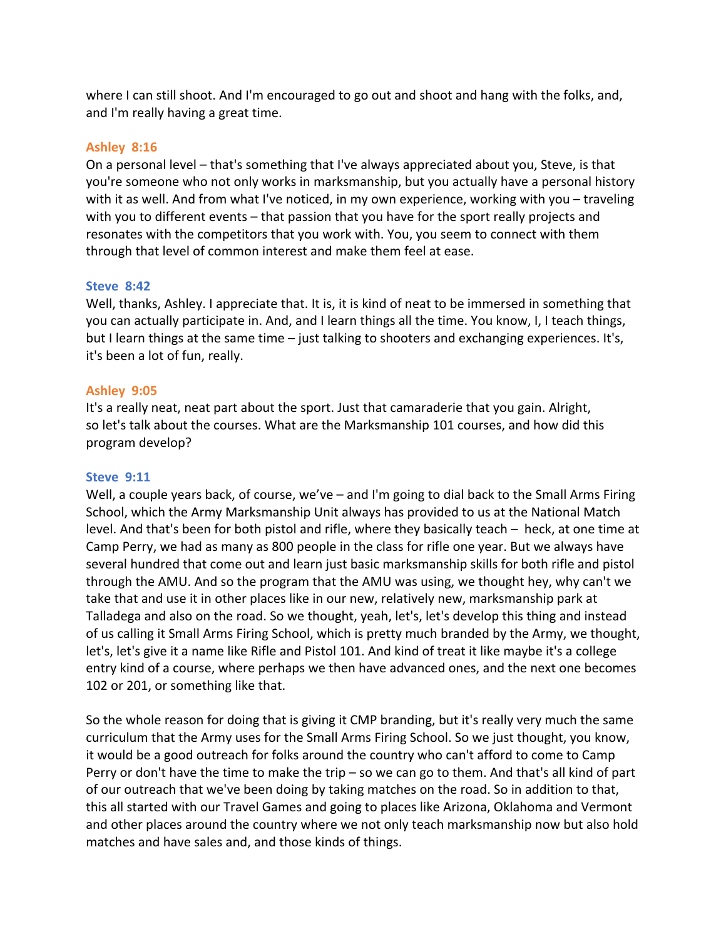where I can still shoot. And I'm encouraged to go out and shoot and hang with the folks, and, and I'm really having a great time.

### **Ashley 8:16**

On a personal level – that's something that I've always appreciated about you, Steve, is that you're someone who not only works in marksmanship, but you actually have a personal history with it as well. And from what I've noticed, in my own experience, working with you – traveling with you to different events – that passion that you have for the sport really projects and resonates with the competitors that you work with. You, you seem to connect with them through that level of common interest and make them feel at ease.

### **Steve 8:42**

Well, thanks, Ashley. I appreciate that. It is, it is kind of neat to be immersed in something that you can actually participate in. And, and I learn things all the time. You know, I, I teach things, but I learn things at the same time – just talking to shooters and exchanging experiences. It's, it's been a lot of fun, really.

### **Ashley 9:05**

It's a really neat, neat part about the sport. Just that camaraderie that you gain. Alright, so let's talk about the courses. What are the Marksmanship 101 courses, and how did this program develop?

### **Steve 9:11**

Well, a couple years back, of course, we've – and I'm going to dial back to the Small Arms Firing School, which the Army Marksmanship Unit always has provided to us at the National Match level. And that's been for both pistol and rifle, where they basically teach – heck, at one time at Camp Perry, we had as many as 800 people in the class for rifle one year. But we always have several hundred that come out and learn just basic marksmanship skills for both rifle and pistol through the AMU. And so the program that the AMU was using, we thought hey, why can't we take that and use it in other places like in our new, relatively new, marksmanship park at Talladega and also on the road. So we thought, yeah, let's, let's develop this thing and instead of us calling it Small Arms Firing School, which is pretty much branded by the Army, we thought, let's, let's give it a name like Rifle and Pistol 101. And kind of treat it like maybe it's a college entry kind of a course, where perhaps we then have advanced ones, and the next one becomes 102 or 201, or something like that.

So the whole reason for doing that is giving it CMP branding, but it's really very much the same curriculum that the Army uses for the Small Arms Firing School. So we just thought, you know, it would be a good outreach for folks around the country who can't afford to come to Camp Perry or don't have the time to make the trip – so we can go to them. And that's all kind of part of our outreach that we've been doing by taking matches on the road. So in addition to that, this all started with our Travel Games and going to places like Arizona, Oklahoma and Vermont and other places around the country where we not only teach marksmanship now but also hold matches and have sales and, and those kinds of things.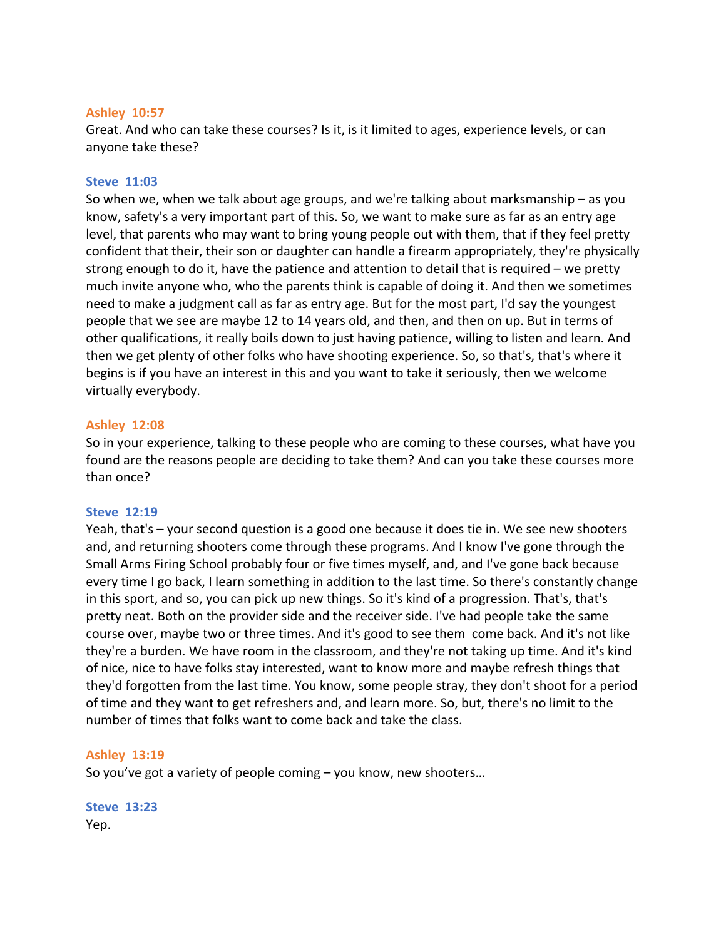### **Ashley 10:57**

Great. And who can take these courses? Is it, is it limited to ages, experience levels, or can anyone take these?

### **Steve 11:03**

So when we, when we talk about age groups, and we're talking about marksmanship – as you know, safety's a very important part of this. So, we want to make sure as far as an entry age level, that parents who may want to bring young people out with them, that if they feel pretty confident that their, their son or daughter can handle a firearm appropriately, they're physically strong enough to do it, have the patience and attention to detail that is required – we pretty much invite anyone who, who the parents think is capable of doing it. And then we sometimes need to make a judgment call as far as entry age. But for the most part, I'd say the youngest people that we see are maybe 12 to 14 years old, and then, and then on up. But in terms of other qualifications, it really boils down to just having patience, willing to listen and learn. And then we get plenty of other folks who have shooting experience. So, so that's, that's where it begins is if you have an interest in this and you want to take it seriously, then we welcome virtually everybody.

### **Ashley 12:08**

So in your experience, talking to these people who are coming to these courses, what have you found are the reasons people are deciding to take them? And can you take these courses more than once?

#### **Steve 12:19**

Yeah, that's – your second question is a good one because it does tie in. We see new shooters and, and returning shooters come through these programs. And I know I've gone through the Small Arms Firing School probably four or five times myself, and, and I've gone back because every time I go back, I learn something in addition to the last time. So there's constantly change in this sport, and so, you can pick up new things. So it's kind of a progression. That's, that's pretty neat. Both on the provider side and the receiver side. I've had people take the same course over, maybe two or three times. And it's good to see them come back. And it's not like they're a burden. We have room in the classroom, and they're not taking up time. And it's kind of nice, nice to have folks stay interested, want to know more and maybe refresh things that they'd forgotten from the last time. You know, some people stray, they don't shoot for a period of time and they want to get refreshers and, and learn more. So, but, there's no limit to the number of times that folks want to come back and take the class.

### **Ashley 13:19**

So you've got a variety of people coming – you know, new shooters…

**Steve 13:23**  Yep.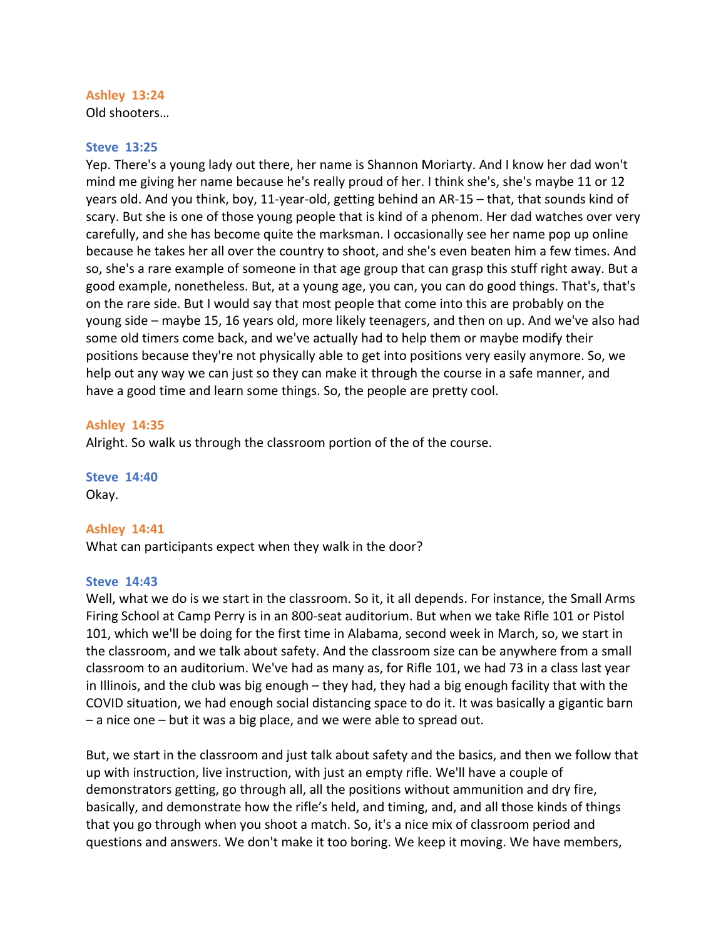# **Ashley 13:24**

Old shooters…

### **Steve 13:25**

Yep. There's a young lady out there, her name is Shannon Moriarty. And I know her dad won't mind me giving her name because he's really proud of her. I think she's, she's maybe 11 or 12 years old. And you think, boy, 11-year-old, getting behind an AR-15 – that, that sounds kind of scary. But she is one of those young people that is kind of a phenom. Her dad watches over very carefully, and she has become quite the marksman. I occasionally see her name pop up online because he takes her all over the country to shoot, and she's even beaten him a few times. And so, she's a rare example of someone in that age group that can grasp this stuff right away. But a good example, nonetheless. But, at a young age, you can, you can do good things. That's, that's on the rare side. But I would say that most people that come into this are probably on the young side – maybe 15, 16 years old, more likely teenagers, and then on up. And we've also had some old timers come back, and we've actually had to help them or maybe modify their positions because they're not physically able to get into positions very easily anymore. So, we help out any way we can just so they can make it through the course in a safe manner, and have a good time and learn some things. So, the people are pretty cool.

### **Ashley 14:35**

Alright. So walk us through the classroom portion of the of the course.

**Steve 14:40**  Okay.

### **Ashley 14:41**

What can participants expect when they walk in the door?

### **Steve 14:43**

Well, what we do is we start in the classroom. So it, it all depends. For instance, the Small Arms Firing School at Camp Perry is in an 800-seat auditorium. But when we take Rifle 101 or Pistol 101, which we'll be doing for the first time in Alabama, second week in March, so, we start in the classroom, and we talk about safety. And the classroom size can be anywhere from a small classroom to an auditorium. We've had as many as, for Rifle 101, we had 73 in a class last year in Illinois, and the club was big enough – they had, they had a big enough facility that with the COVID situation, we had enough social distancing space to do it. It was basically a gigantic barn – a nice one – but it was a big place, and we were able to spread out.

But, we start in the classroom and just talk about safety and the basics, and then we follow that up with instruction, live instruction, with just an empty rifle. We'll have a couple of demonstrators getting, go through all, all the positions without ammunition and dry fire, basically, and demonstrate how the rifle's held, and timing, and, and all those kinds of things that you go through when you shoot a match. So, it's a nice mix of classroom period and questions and answers. We don't make it too boring. We keep it moving. We have members,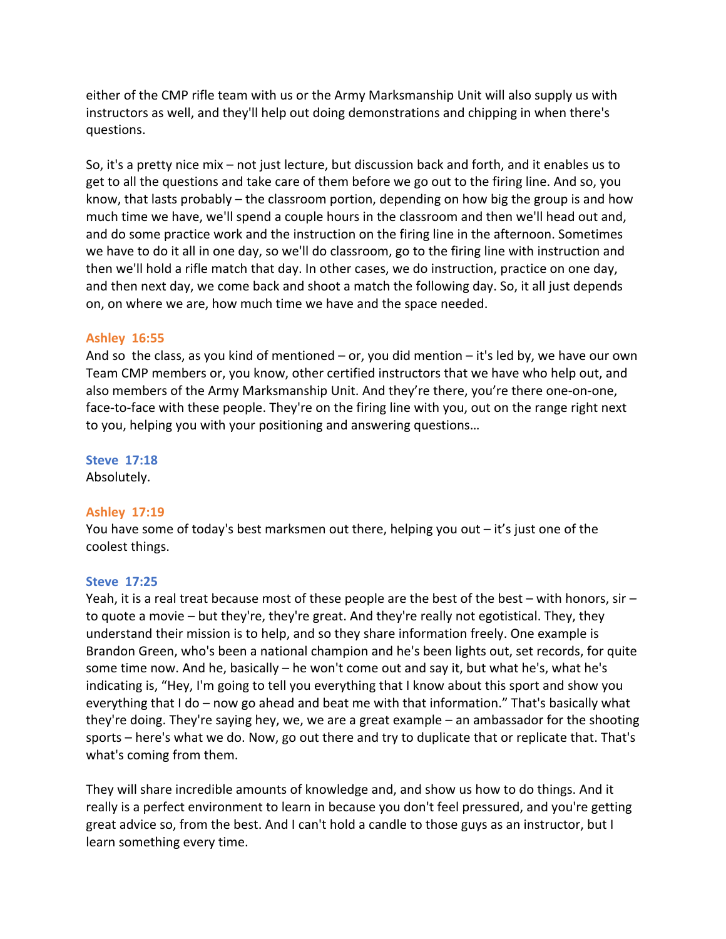either of the CMP rifle team with us or the Army Marksmanship Unit will also supply us with instructors as well, and they'll help out doing demonstrations and chipping in when there's questions.

So, it's a pretty nice mix – not just lecture, but discussion back and forth, and it enables us to get to all the questions and take care of them before we go out to the firing line. And so, you know, that lasts probably – the classroom portion, depending on how big the group is and how much time we have, we'll spend a couple hours in the classroom and then we'll head out and, and do some practice work and the instruction on the firing line in the afternoon. Sometimes we have to do it all in one day, so we'll do classroom, go to the firing line with instruction and then we'll hold a rifle match that day. In other cases, we do instruction, practice on one day, and then next day, we come back and shoot a match the following day. So, it all just depends on, on where we are, how much time we have and the space needed.

# **Ashley 16:55**

And so the class, as you kind of mentioned – or, you did mention – it's led by, we have our own Team CMP members or, you know, other certified instructors that we have who help out, and also members of the Army Marksmanship Unit. And they're there, you're there one-on-one, face-to-face with these people. They're on the firing line with you, out on the range right next to you, helping you with your positioning and answering questions…

### **Steve 17:18**  Absolutely.

# **Ashley 17:19**

You have some of today's best marksmen out there, helping you out – it's just one of the coolest things.

# **Steve 17:25**

Yeah, it is a real treat because most of these people are the best of the best – with honors, sir – to quote a movie – but they're, they're great. And they're really not egotistical. They, they understand their mission is to help, and so they share information freely. One example is Brandon Green, who's been a national champion and he's been lights out, set records, for quite some time now. And he, basically – he won't come out and say it, but what he's, what he's indicating is, "Hey, I'm going to tell you everything that I know about this sport and show you everything that I do – now go ahead and beat me with that information." That's basically what they're doing. They're saying hey, we, we are a great example – an ambassador for the shooting sports – here's what we do. Now, go out there and try to duplicate that or replicate that. That's what's coming from them.

They will share incredible amounts of knowledge and, and show us how to do things. And it really is a perfect environment to learn in because you don't feel pressured, and you're getting great advice so, from the best. And I can't hold a candle to those guys as an instructor, but I learn something every time.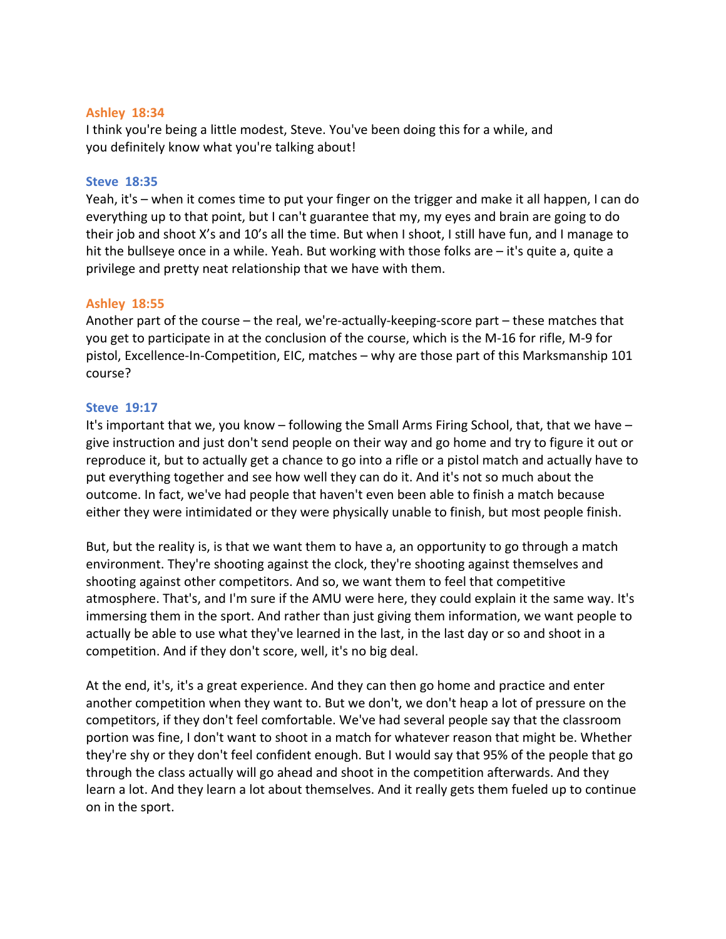### **Ashley 18:34**

I think you're being a little modest, Steve. You've been doing this for a while, and you definitely know what you're talking about!

# **Steve 18:35**

Yeah, it's – when it comes time to put your finger on the trigger and make it all happen, I can do everything up to that point, but I can't guarantee that my, my eyes and brain are going to do their job and shoot X's and 10's all the time. But when I shoot, I still have fun, and I manage to hit the bullseye once in a while. Yeah. But working with those folks are – it's quite a, quite a privilege and pretty neat relationship that we have with them.

# **Ashley 18:55**

Another part of the course – the real, we're-actually-keeping-score part – these matches that you get to participate in at the conclusion of the course, which is the M-16 for rifle, M-9 for pistol, Excellence-In-Competition, EIC, matches – why are those part of this Marksmanship 101 course?

# **Steve 19:17**

It's important that we, you know – following the Small Arms Firing School, that, that we have – give instruction and just don't send people on their way and go home and try to figure it out or reproduce it, but to actually get a chance to go into a rifle or a pistol match and actually have to put everything together and see how well they can do it. And it's not so much about the outcome. In fact, we've had people that haven't even been able to finish a match because either they were intimidated or they were physically unable to finish, but most people finish.

But, but the reality is, is that we want them to have a, an opportunity to go through a match environment. They're shooting against the clock, they're shooting against themselves and shooting against other competitors. And so, we want them to feel that competitive atmosphere. That's, and I'm sure if the AMU were here, they could explain it the same way. It's immersing them in the sport. And rather than just giving them information, we want people to actually be able to use what they've learned in the last, in the last day or so and shoot in a competition. And if they don't score, well, it's no big deal.

At the end, it's, it's a great experience. And they can then go home and practice and enter another competition when they want to. But we don't, we don't heap a lot of pressure on the competitors, if they don't feel comfortable. We've had several people say that the classroom portion was fine, I don't want to shoot in a match for whatever reason that might be. Whether they're shy or they don't feel confident enough. But I would say that 95% of the people that go through the class actually will go ahead and shoot in the competition afterwards. And they learn a lot. And they learn a lot about themselves. And it really gets them fueled up to continue on in the sport.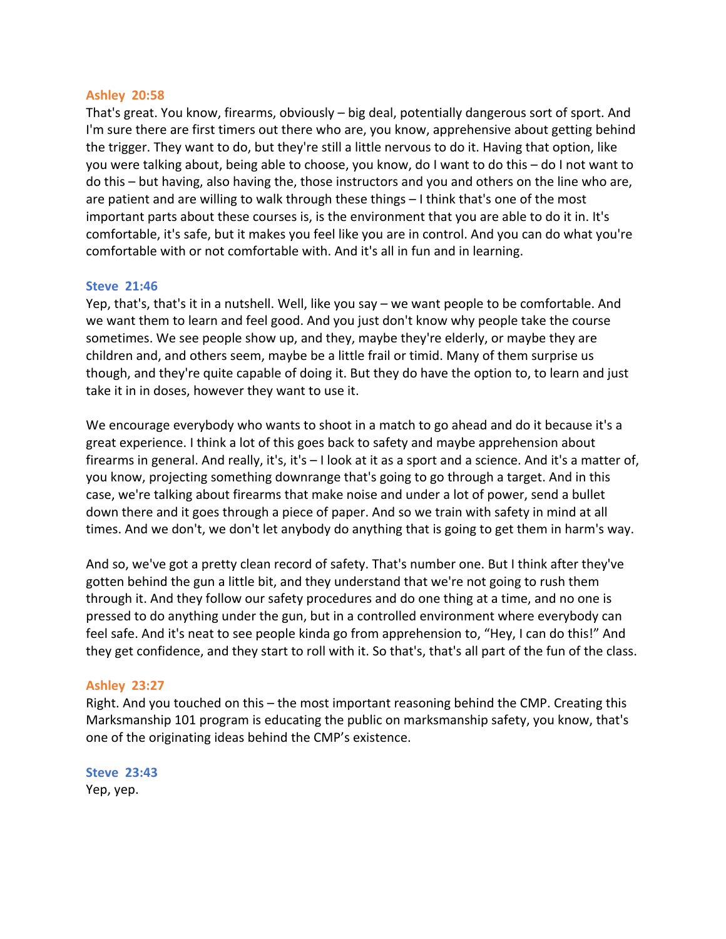# **Ashley 20:58**

That's great. You know, firearms, obviously – big deal, potentially dangerous sort of sport. And I'm sure there are first timers out there who are, you know, apprehensive about getting behind the trigger. They want to do, but they're still a little nervous to do it. Having that option, like you were talking about, being able to choose, you know, do I want to do this – do I not want to do this – but having, also having the, those instructors and you and others on the line who are, are patient and are willing to walk through these things – I think that's one of the most important parts about these courses is, is the environment that you are able to do it in. It's comfortable, it's safe, but it makes you feel like you are in control. And you can do what you're comfortable with or not comfortable with. And it's all in fun and in learning.

# **Steve 21:46**

Yep, that's, that's it in a nutshell. Well, like you say – we want people to be comfortable. And we want them to learn and feel good. And you just don't know why people take the course sometimes. We see people show up, and they, maybe they're elderly, or maybe they are children and, and others seem, maybe be a little frail or timid. Many of them surprise us though, and they're quite capable of doing it. But they do have the option to, to learn and just take it in in doses, however they want to use it.

We encourage everybody who wants to shoot in a match to go ahead and do it because it's a great experience. I think a lot of this goes back to safety and maybe apprehension about firearms in general. And really, it's, it's – I look at it as a sport and a science. And it's a matter of, you know, projecting something downrange that's going to go through a target. And in this case, we're talking about firearms that make noise and under a lot of power, send a bullet down there and it goes through a piece of paper. And so we train with safety in mind at all times. And we don't, we don't let anybody do anything that is going to get them in harm's way.

And so, we've got a pretty clean record of safety. That's number one. But I think after they've gotten behind the gun a little bit, and they understand that we're not going to rush them through it. And they follow our safety procedures and do one thing at a time, and no one is pressed to do anything under the gun, but in a controlled environment where everybody can feel safe. And it's neat to see people kinda go from apprehension to, "Hey, I can do this!" And they get confidence, and they start to roll with it. So that's, that's all part of the fun of the class.

### **Ashley 23:27**

Right. And you touched on this – the most important reasoning behind the CMP. Creating this Marksmanship 101 program is educating the public on marksmanship safety, you know, that's one of the originating ideas behind the CMP's existence.

**Steve 23:43**  Yep, yep.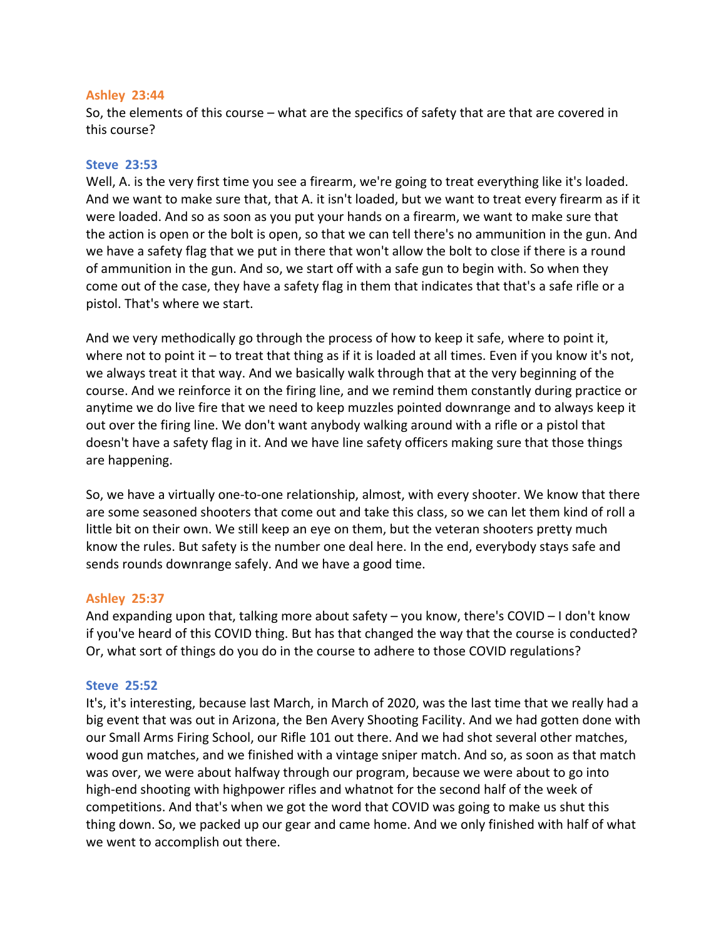### **Ashley 23:44**

So, the elements of this course – what are the specifics of safety that are that are covered in this course?

### **Steve 23:53**

Well, A. is the very first time you see a firearm, we're going to treat everything like it's loaded. And we want to make sure that, that A. it isn't loaded, but we want to treat every firearm as if it were loaded. And so as soon as you put your hands on a firearm, we want to make sure that the action is open or the bolt is open, so that we can tell there's no ammunition in the gun. And we have a safety flag that we put in there that won't allow the bolt to close if there is a round of ammunition in the gun. And so, we start off with a safe gun to begin with. So when they come out of the case, they have a safety flag in them that indicates that that's a safe rifle or a pistol. That's where we start.

And we very methodically go through the process of how to keep it safe, where to point it, where not to point it  $-$  to treat that thing as if it is loaded at all times. Even if you know it's not, we always treat it that way. And we basically walk through that at the very beginning of the course. And we reinforce it on the firing line, and we remind them constantly during practice or anytime we do live fire that we need to keep muzzles pointed downrange and to always keep it out over the firing line. We don't want anybody walking around with a rifle or a pistol that doesn't have a safety flag in it. And we have line safety officers making sure that those things are happening.

So, we have a virtually one-to-one relationship, almost, with every shooter. We know that there are some seasoned shooters that come out and take this class, so we can let them kind of roll a little bit on their own. We still keep an eye on them, but the veteran shooters pretty much know the rules. But safety is the number one deal here. In the end, everybody stays safe and sends rounds downrange safely. And we have a good time.

# **Ashley 25:37**

And expanding upon that, talking more about safety – you know, there's COVID – I don't know if you've heard of this COVID thing. But has that changed the way that the course is conducted? Or, what sort of things do you do in the course to adhere to those COVID regulations?

### **Steve 25:52**

It's, it's interesting, because last March, in March of 2020, was the last time that we really had a big event that was out in Arizona, the Ben Avery Shooting Facility. And we had gotten done with our Small Arms Firing School, our Rifle 101 out there. And we had shot several other matches, wood gun matches, and we finished with a vintage sniper match. And so, as soon as that match was over, we were about halfway through our program, because we were about to go into high-end shooting with highpower rifles and whatnot for the second half of the week of competitions. And that's when we got the word that COVID was going to make us shut this thing down. So, we packed up our gear and came home. And we only finished with half of what we went to accomplish out there.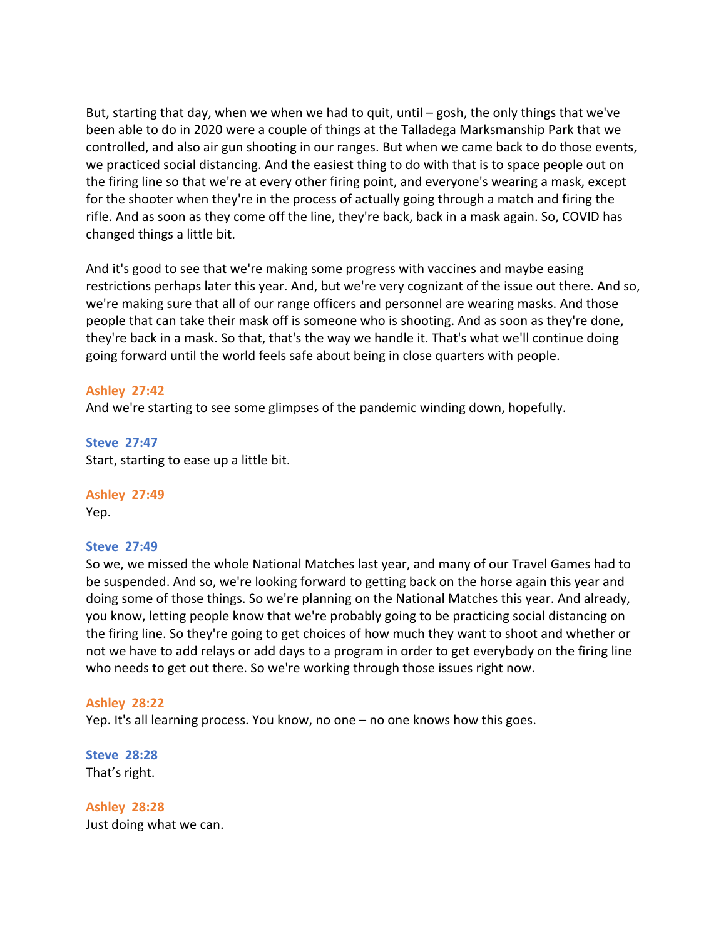But, starting that day, when we when we had to quit, until – gosh, the only things that we've been able to do in 2020 were a couple of things at the Talladega Marksmanship Park that we controlled, and also air gun shooting in our ranges. But when we came back to do those events, we practiced social distancing. And the easiest thing to do with that is to space people out on the firing line so that we're at every other firing point, and everyone's wearing a mask, except for the shooter when they're in the process of actually going through a match and firing the rifle. And as soon as they come off the line, they're back, back in a mask again. So, COVID has changed things a little bit.

And it's good to see that we're making some progress with vaccines and maybe easing restrictions perhaps later this year. And, but we're very cognizant of the issue out there. And so, we're making sure that all of our range officers and personnel are wearing masks. And those people that can take their mask off is someone who is shooting. And as soon as they're done, they're back in a mask. So that, that's the way we handle it. That's what we'll continue doing going forward until the world feels safe about being in close quarters with people.

# **Ashley 27:42**

And we're starting to see some glimpses of the pandemic winding down, hopefully.

**Steve 27:47** Start, starting to ease up a little bit.

**Ashley 27:49** Yep.

### **Steve 27:49**

So we, we missed the whole National Matches last year, and many of our Travel Games had to be suspended. And so, we're looking forward to getting back on the horse again this year and doing some of those things. So we're planning on the National Matches this year. And already, you know, letting people know that we're probably going to be practicing social distancing on the firing line. So they're going to get choices of how much they want to shoot and whether or not we have to add relays or add days to a program in order to get everybody on the firing line who needs to get out there. So we're working through those issues right now.

### **Ashley 28:22**

Yep. It's all learning process. You know, no one – no one knows how this goes.

**Steve 28:28** That's right.

**Ashley 28:28** Just doing what we can.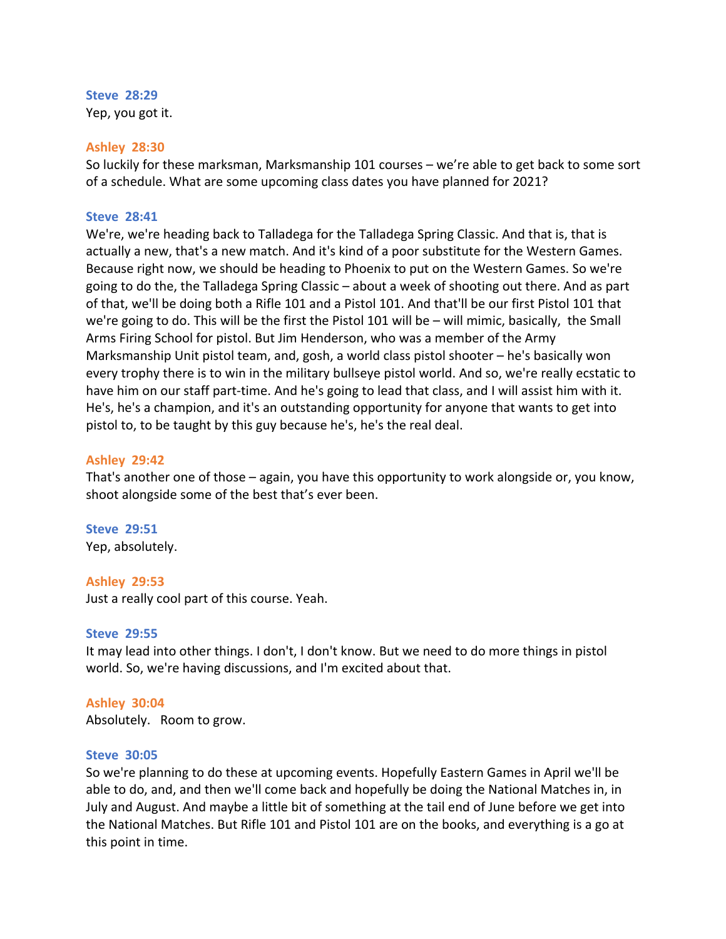**Steve 28:29**  Yep, you got it.

#### **Ashley 28:30**

So luckily for these marksman, Marksmanship 101 courses – we're able to get back to some sort of a schedule. What are some upcoming class dates you have planned for 2021?

### **Steve 28:41**

We're, we're heading back to Talladega for the Talladega Spring Classic. And that is, that is actually a new, that's a new match. And it's kind of a poor substitute for the Western Games. Because right now, we should be heading to Phoenix to put on the Western Games. So we're going to do the, the Talladega Spring Classic – about a week of shooting out there. And as part of that, we'll be doing both a Rifle 101 and a Pistol 101. And that'll be our first Pistol 101 that we're going to do. This will be the first the Pistol 101 will be – will mimic, basically, the Small Arms Firing School for pistol. But Jim Henderson, who was a member of the Army Marksmanship Unit pistol team, and, gosh, a world class pistol shooter – he's basically won every trophy there is to win in the military bullseye pistol world. And so, we're really ecstatic to have him on our staff part-time. And he's going to lead that class, and I will assist him with it. He's, he's a champion, and it's an outstanding opportunity for anyone that wants to get into pistol to, to be taught by this guy because he's, he's the real deal.

### **Ashley 29:42**

That's another one of those – again, you have this opportunity to work alongside or, you know, shoot alongside some of the best that's ever been.

# **Steve 29:51**

Yep, absolutely.

#### **Ashley 29:53**

Just a really cool part of this course. Yeah.

### **Steve 29:55**

It may lead into other things. I don't, I don't know. But we need to do more things in pistol world. So, we're having discussions, and I'm excited about that.

### **Ashley 30:04**

Absolutely. Room to grow.

#### **Steve 30:05**

So we're planning to do these at upcoming events. Hopefully Eastern Games in April we'll be able to do, and, and then we'll come back and hopefully be doing the National Matches in, in July and August. And maybe a little bit of something at the tail end of June before we get into the National Matches. But Rifle 101 and Pistol 101 are on the books, and everything is a go at this point in time.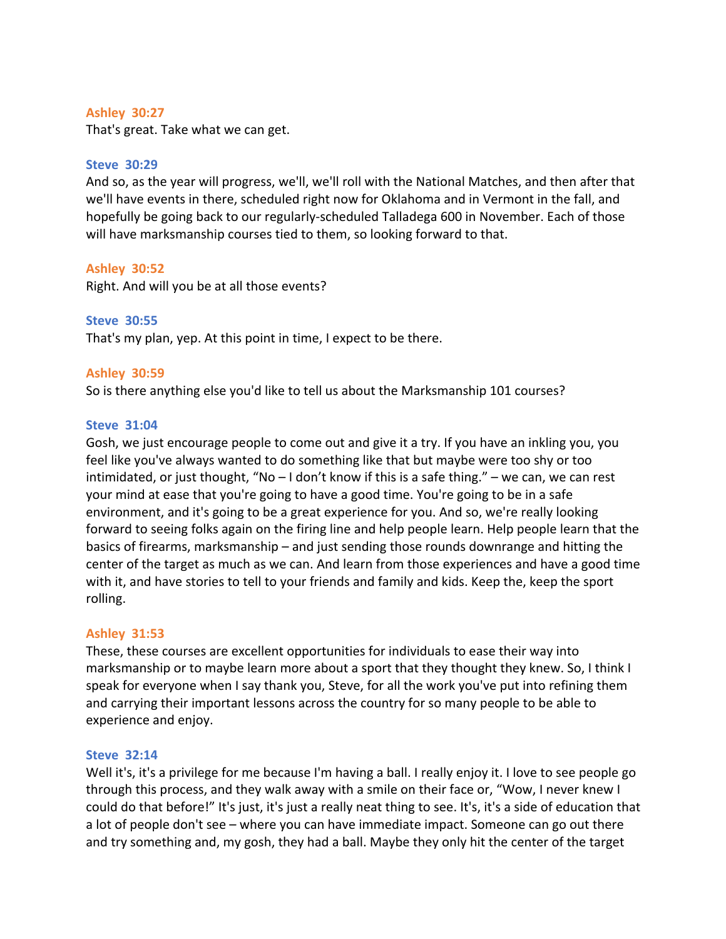### **Ashley 30:27**

That's great. Take what we can get.

### **Steve 30:29**

And so, as the year will progress, we'll, we'll roll with the National Matches, and then after that we'll have events in there, scheduled right now for Oklahoma and in Vermont in the fall, and hopefully be going back to our regularly-scheduled Talladega 600 in November. Each of those will have marksmanship courses tied to them, so looking forward to that.

### **Ashley 30:52**

Right. And will you be at all those events?

### **Steve 30:55**

That's my plan, yep. At this point in time, I expect to be there.

### **Ashley 30:59**

So is there anything else you'd like to tell us about the Marksmanship 101 courses?

### **Steve 31:04**

Gosh, we just encourage people to come out and give it a try. If you have an inkling you, you feel like you've always wanted to do something like that but maybe were too shy or too intimidated, or just thought, "No  $-1$  don't know if this is a safe thing."  $-$  we can, we can rest your mind at ease that you're going to have a good time. You're going to be in a safe environment, and it's going to be a great experience for you. And so, we're really looking forward to seeing folks again on the firing line and help people learn. Help people learn that the basics of firearms, marksmanship – and just sending those rounds downrange and hitting the center of the target as much as we can. And learn from those experiences and have a good time with it, and have stories to tell to your friends and family and kids. Keep the, keep the sport rolling.

### **Ashley 31:53**

These, these courses are excellent opportunities for individuals to ease their way into marksmanship or to maybe learn more about a sport that they thought they knew. So, I think I speak for everyone when I say thank you, Steve, for all the work you've put into refining them and carrying their important lessons across the country for so many people to be able to experience and enjoy.

#### **Steve 32:14**

Well it's, it's a privilege for me because I'm having a ball. I really enjoy it. I love to see people go through this process, and they walk away with a smile on their face or, "Wow, I never knew I could do that before!" It's just, it's just a really neat thing to see. It's, it's a side of education that a lot of people don't see – where you can have immediate impact. Someone can go out there and try something and, my gosh, they had a ball. Maybe they only hit the center of the target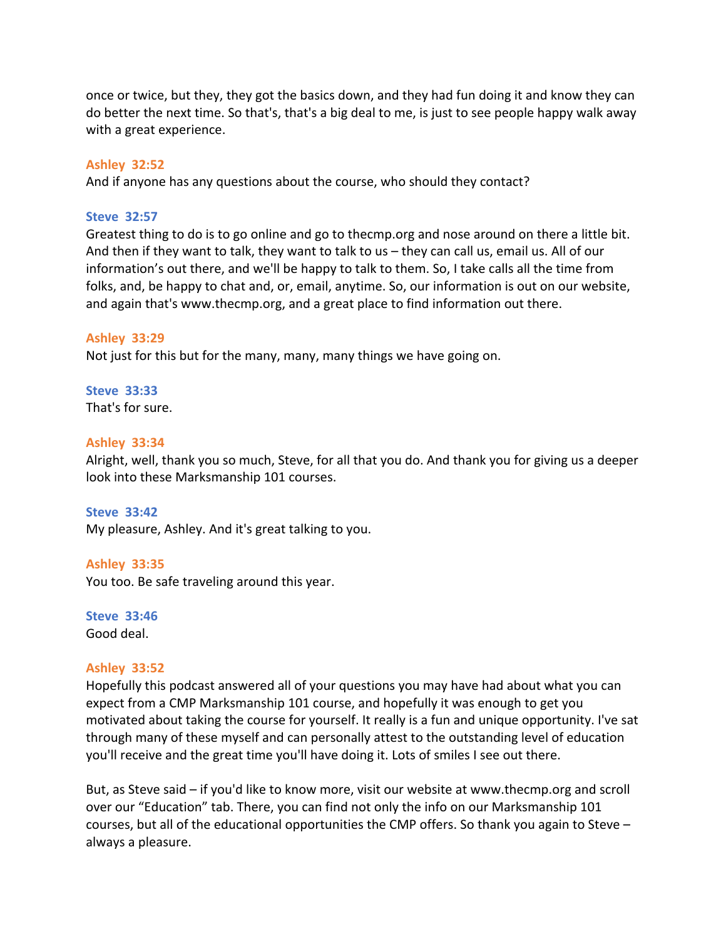once or twice, but they, they got the basics down, and they had fun doing it and know they can do better the next time. So that's, that's a big deal to me, is just to see people happy walk away with a great experience.

### **Ashley 32:52**

And if anyone has any questions about the course, who should they contact?

### **Steve 32:57**

Greatest thing to do is to go online and go to thecmp.org and nose around on there a little bit. And then if they want to talk, they want to talk to us – they can call us, email us. All of our information's out there, and we'll be happy to talk to them. So, I take calls all the time from folks, and, be happy to chat and, or, email, anytime. So, our information is out on our website, and again that's www.thecmp.org, and a great place to find information out there.

# **Ashley 33:29**

Not just for this but for the many, many, many things we have going on.

# **Steve 33:33**

That's for sure.

# **Ashley 33:34**

Alright, well, thank you so much, Steve, for all that you do. And thank you for giving us a deeper look into these Marksmanship 101 courses.

### **Steve 33:42**

My pleasure, Ashley. And it's great talking to you.

### **Ashley 33:35**

You too. Be safe traveling around this year.

**Steve 33:46**  Good deal.

### **Ashley 33:52**

Hopefully this podcast answered all of your questions you may have had about what you can expect from a CMP Marksmanship 101 course, and hopefully it was enough to get you motivated about taking the course for yourself. It really is a fun and unique opportunity. I've sat through many of these myself and can personally attest to the outstanding level of education you'll receive and the great time you'll have doing it. Lots of smiles I see out there.

But, as Steve said – if you'd like to know more, visit our website at www.thecmp.org and scroll over our "Education" tab. There, you can find not only the info on our Marksmanship 101 courses, but all of the educational opportunities the CMP offers. So thank you again to Steve – always a pleasure.